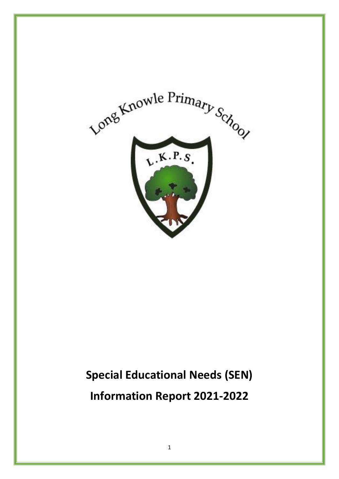

# **Special Educational Needs (SEN) Information Report 2021-2022**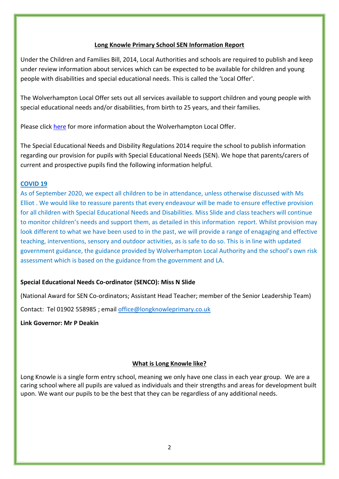#### **Long Knowle Primary School SEN Information Report**

Under the Children and Families Bill, 2014, Local Authorities and schools are required to publish and keep under review information about services which can be expected to be available for children and young people with disabilities and special educational needs. This is called the 'Local Offer'.

The Wolverhampton Local Offer sets out all services available to support children and young people with special educational needs and/or disabilities, from birth to 25 years, and their families.

Please click [here](http://win.wolverhampton.gov.uk/kb5/wolverhampton/directory/localoffer.page?localofferchannel=0) for more information about the Wolverhampton Local Offer.

The Special Educational Needs and Disbility Regulations 2014 require the school to publish information regarding our provision for pupils with Special Educational Needs (SEN). We hope that parents/carers of current and prospective pupils find the following information helpful.

#### **COVID 19**

As of September 2020, we expect all children to be in attendance, unless otherwise discussed with Ms Elliot . We would like to reassure parents that every endeavour will be made to ensure effective provision for all children with Special Educational Needs and Disabilities. Miss Slide and class teachers will continue to monitor children's needs and support them, as detailed in this information report. Whilst provision may look different to what we have been used to in the past, we will provide a range of enagaging and effective teaching, interventions, sensory and outdoor activities, as is safe to do so. This is in line with updated government guidance, the guidance provided by Wolverhampton Local Authority and the school's own risk assessment which is based on the guidance from the government and LA.

#### **Special Educational Needs Co-ordinator (SENCO): Miss N Slide**

(National Award for SEN Co-ordinators; Assistant Head Teacher; member of the Senior Leadership Team)

Contact: Tel 01902 558985 ; email [office@longknowleprimary.co.uk](mailto:office@longknowleprimary.co.uk)

**Link Governor: Mr P Deakin**

#### **What is Long Knowle like?**

Long Knowle is a single form entry school, meaning we only have one class in each year group. We are a caring school where all pupils are valued as individuals and their strengths and areas for development built upon. We want our pupils to be the best that they can be regardless of any additional needs.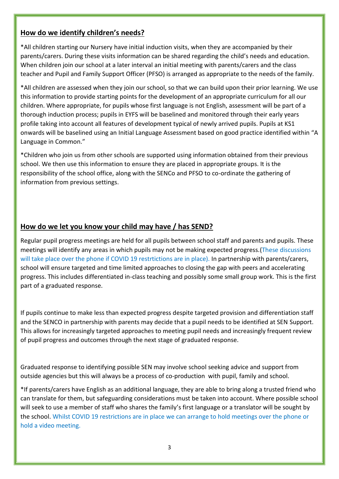#### **How do we identify children's needs?**

\*All children starting our Nursery have initial induction visits, when they are accompanied by their parents/carers. During these visits information can be shared regarding the child's needs and education. When children join our school at a later interval an initial meeting with parents/carers and the class teacher and Pupil and Family Support Officer (PFSO) is arranged as appropriate to the needs of the family.

\*All children are assessed when they join our school, so that we can build upon their prior learning. We use this information to provide starting points for the development of an appropriate curriculum for all our children. Where appropriate, for pupils whose first language is not English, assessment will be part of a thorough induction process; pupils in EYFS will be baselined and monitored through their early years profile taking into account all features of development typical of newly arrived pupils. Pupils at KS1 onwards will be baselined using an Initial Language Assessment based on good practice identified within "A Language in Common."

\*Children who join us from other schools are supported using information obtained from their previous school. We then use this information to ensure they are placed in appropriate groups. It is the responsibility of the school office, along with the SENCo and PFSO to co-ordinate the gathering of information from previous settings.

## **How do we let you know your child may have / has SEND?**

Regular pupil progress meetings are held for all pupils between school staff and parents and pupils. These meetings will identify any areas in which pupils may not be making expected progress.(These discussions will take place over the phone if COVID 19 restrtictions are in place). In partnership with parents/carers, school will ensure targeted and time limited approaches to closing the gap with peers and accelerating progress. This includes differentiated in-class teaching and possibly some small group work. This is the first part of a graduated response.

If pupils continue to make less than expected progress despite targeted provision and differentiation staff and the SENCO in partnership with parents may decide that a pupil needs to be identified at SEN Support. This allows for increasingly targeted approaches to meeting pupil needs and increasingly frequent review of pupil progress and outcomes through the next stage of graduated response.

Graduated response to identifying possible SEN may involve school seeking advice and support from outside agencies but this will always be a process of co-production with pupil, family and school.

\*If parents/carers have English as an additional language, they are able to bring along a trusted friend who can translate for them, but safeguarding considerations must be taken into account. Where possible school will seek to use a member of staff who shares the family's first language or a translator will be sought by the school. Whilst COVID 19 restrictions are in place we can arrange to hold meetings over the phone or hold a video meeting.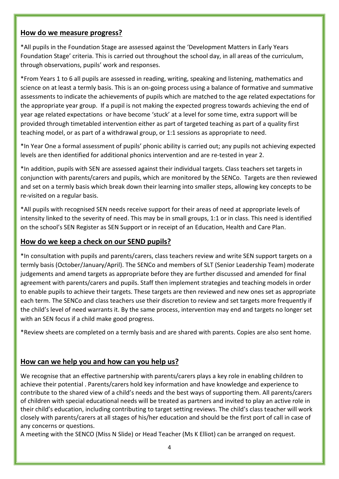#### **How do we measure progress?**

\*All pupils in the Foundation Stage are assessed against the 'Development Matters in Early Years Foundation Stage' criteria. This is carried out throughout the school day, in all areas of the curriculum, through observations, pupils' work and responses.

\*From Years 1 to 6 all pupils are assessed in reading, writing, speaking and listening, mathematics and science on at least a termly basis. This is an on-going process using a balance of formative and summative assessments to indicate the achievements of pupils which are matched to the age related expectations for the appropriate year group. If a pupil is not making the expected progress towards achieving the end of year age related expectations or have become 'stuck' at a level for some time, extra support will be provided through timetabled intervention either as part of targeted teaching as part of a quality first teaching model, or as part of a withdrawal group, or 1:1 sessions as appropriate to need.

\*In Year One a formal assessment of pupils' phonic ability is carried out; any pupils not achieving expected levels are then identified for additional phonics intervention and are re-tested in year 2.

\*In addition, pupils with SEN are assessed against their individual targets. Class teachers set targets in conjunction with parents/carers and pupils, which are monitored by the SENCo. Targets are then reviewed and set on a termly basis which break down their learning into smaller steps, allowing key concepts to be re-visited on a regular basis.

\*All pupils with recognised SEN needs receive support for their areas of need at appropriate levels of intensity linked to the severity of need. This may be in small groups, 1:1 or in class. This need is identified on the school's SEN Register as SEN Support or in receipt of an Education, Health and Care Plan.

### **How do we keep a check on our SEND pupils?**

\*In consultation with pupils and parents/carers, class teachers review and write SEN support targets on a termly basis (October/January/April). The SENCo and members of SLT (Senior Leadership Team) moderate judgements and amend targets as appropriate before they are further discussed and amended for final agreement with parents/carers and pupils. Staff then implement strategies and teaching models in order to enable pupils to achieve their targets. These targets are then reviewed and new ones set as appropriate each term. The SENCo and class teachers use their discretion to review and set targets more frequently if the child's level of need warrants it. By the same process, intervention may end and targets no longer set with an SEN focus if a child make good progress.

\*Review sheets are completed on a termly basis and are shared with parents. Copies are also sent home.

#### **How can we help you and how can you help us?**

We recognise that an effective partnership with parents/carers plays a key role in enabling children to achieve their potential . Parents/carers hold key information and have knowledge and experience to contribute to the shared view of a child's needs and the best ways of supporting them. All parents/carers of children with special educational needs will be treated as partners and invited to play an active role in their child's education, including contributing to target setting reviews. The child's class teacher will work closely with parents/carers at all stages of his/her education and should be the first port of call in case of any concerns or questions.

A meeting with the SENCO (Miss N Slide) or Head Teacher (Ms K Elliot) can be arranged on request.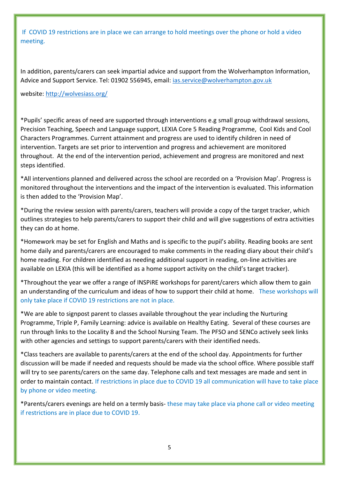If COVID 19 restrictions are in place we can arrange to hold meetings over the phone or hold a video meeting.

In addition, parents/carers can seek impartial advice and support from the Wolverhampton Information, Advice and Support Service. Tel: 01902 556945, email: [ias.service@wolverhampton.gov.uk](mailto:ias.service@wolverhampton.gov.uk) 

website:<http://wolvesiass.org/>

\*Pupils' specific areas of need are supported through interventions e.g small group withdrawal sessions, Precision Teaching, Speech and Language support, LEXIA Core 5 Reading Programme, Cool Kids and Cool Characters Programmes. Current attainment and progress are used to identify children in need of intervention. Targets are set prior to intervention and progress and achievement are monitored throughout. At the end of the intervention period, achievement and progress are monitored and next steps identified.

\*All interventions planned and delivered across the school are recorded on a 'Provision Map'. Progress is monitored throughout the interventions and the impact of the intervention is evaluated. This information is then added to the 'Provision Map'.

\*During the review session with parents/carers, teachers will provide a copy of the target tracker, which outlines strategies to help parents/carers to support their child and will give suggestions of extra activities they can do at home.

\*Homework may be set for English and Maths and is specific to the pupil's ability. Reading books are sent home daily and parents/carers are encouraged to make comments in the reading diary about their child's home reading. For children identified as needing additional support in reading, on-line activities are available on LEXIA (this will be identified as a home support activity on the child's target tracker).

\*Throughout the year we offer a range of INSPiRE workshops for parent/carers which allow them to gain an understanding of the curriculum and ideas of how to support their child at home. These workshops will only take place if COVID 19 restrictions are not in place.

\*We are able to signpost parent to classes available throughout the year including the Nurturing Programme, Triple P, Family Learning: advice is available on Healthy Eating. Several of these courses are run through links to the Locality 8 and the School Nursing Team. The PFSO and SENCo actively seek links with other agencies and settings to support parents/carers with their identified needs.

\*Class teachers are available to parents/carers at the end of the school day. Appointments for further discussion will be made if needed and requests should be made via the school office. Where possible staff will try to see parents/carers on the same day. Telephone calls and text messages are made and sent in order to maintain contact. If restrictions in place due to COVID 19 all communication will have to take place by phone or video meeting.

\*Parents/carers evenings are held on a termly basis- these may take place via phone call or video meeting if restrictions are in place due to COVID 19.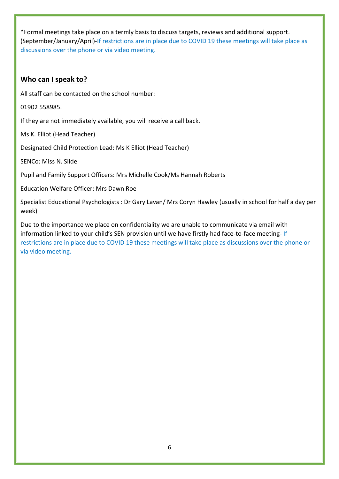\*Formal meetings take place on a termly basis to discuss targets, reviews and additional support. (September/January/April)-If restrictions are in place due to COVID 19 these meetings will take place as discussions over the phone or via video meeting.

## **Who can I speak to?**

All staff can be contacted on the school number:

01902 558985.

If they are not immediately available, you will receive a call back.

Ms K. Elliot (Head Teacher)

Designated Child Protection Lead: Ms K Elliot (Head Teacher)

SENCo: Miss N. Slide

Pupil and Family Support Officers: Mrs Michelle Cook/Ms Hannah Roberts

Education Welfare Officer: Mrs Dawn Roe

Specialist Educational Psychologists : Dr Gary Lavan/ Mrs Coryn Hawley (usually in school for half a day per week)

Due to the importance we place on confidentiality we are unable to communicate via email with information linked to your child's SEN provision until we have firstly had face-to-face meeting*-* If restrictions are in place due to COVID 19 these meetings will take place as discussions over the phone or via video meeting.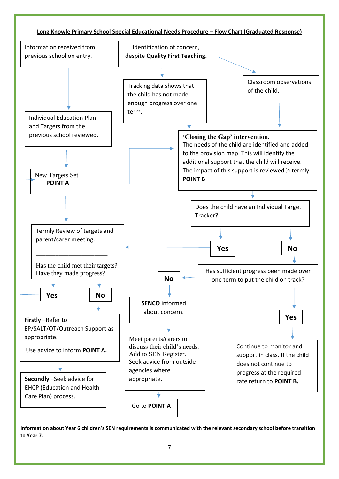

**Information about Year 6 children's SEN requirements is communicated with the relevant secondary school before transition to Year 7.**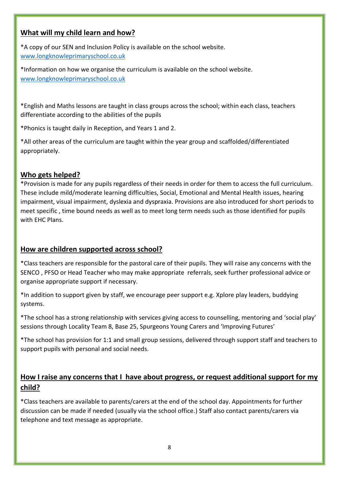## **What will my child learn and how?**

\*A copy of our SEN and Inclusion Policy is available on the school website. [www.longknowleprimaryschool.co.uk](http://www.longknowleprimaryschool.co.uk/)

\*Information on how we organise the curriculum is available on the school website. [www.longknowleprimaryschool.co.uk](http://www.longknowleprimaryschool.co.uk/)

\*English and Maths lessons are taught in class groups across the school; within each class, teachers differentiate according to the abilities of the pupils

\*Phonics is taught daily in Reception, and Years 1 and 2.

\*All other areas of the curriculum are taught within the year group and scaffolded/differentiated appropriately.

# **Who gets helped?**

\*Provision is made for any pupils regardless of their needs in order for them to access the full curriculum. These include mild/moderate learning difficulties, Social, Emotional and Mental Health issues, hearing impairment, visual impairment, dyslexia and dyspraxia. Provisions are also introduced for short periods to meet specific , time bound needs as well as to meet long term needs such as those identified for pupils with EHC Plans.

# **How are children supported across school?**

\*Class teachers are responsible for the pastoral care of their pupils. They will raise any concerns with the SENCO , PFSO or Head Teacher who may make appropriate referrals, seek further professional advice or organise appropriate support if necessary.

\*In addition to support given by staff, we encourage peer support e.g. Xplore play leaders, buddying systems.

\*The school has a strong relationship with services giving access to counselling, mentoring and 'social play' sessions through Locality Team 8, Base 25, Spurgeons Young Carers and 'Improving Futures'

\*The school has provision for 1:1 and small group sessions, delivered through support staff and teachers to support pupils with personal and social needs.

# **How I raise any concerns that I have about progress, or request additional support for my child?**

\*Class teachers are available to parents/carers at the end of the school day. Appointments for further discussion can be made if needed (usually via the school office.) Staff also contact parents/carers via telephone and text message as appropriate.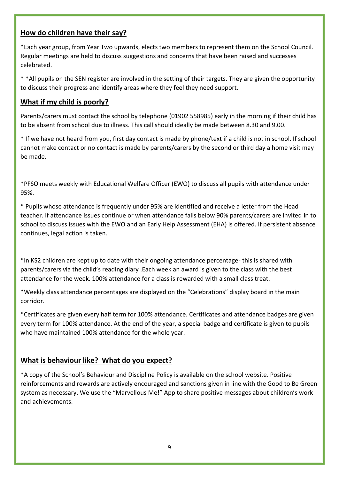### **How do children have their say?**

\*Each year group, from Year Two upwards, elects two members to represent them on the School Council. Regular meetings are held to discuss suggestions and concerns that have been raised and successes celebrated.

\* \*All pupils on the SEN register are involved in the setting of their targets. They are given the opportunity to discuss their progress and identify areas where they feel they need support.

# **What if my child is poorly?**

Parents/carers must contact the school by telephone (01902 558985) early in the morning if their child has to be absent from school due to illness. This call should ideally be made between 8.30 and 9.00.

\* If we have not heard from you, first day contact is made by phone/text if a child is not in school. If school cannot make contact or no contact is made by parents/carers by the second or third day a home visit may be made.

\*PFSO meets weekly with Educational Welfare Officer (EWO) to discuss all pupils with attendance under 95%.

\* Pupils whose attendance is frequently under 95% are identified and receive a letter from the Head teacher. If attendance issues continue or when attendance falls below 90% parents/carers are invited in to school to discuss issues with the EWO and an Early Help Assessment (EHA) is offered. If persistent absence continues, legal action is taken.

\*In KS2 children are kept up to date with their ongoing attendance percentage- this is shared with parents/carers via the child's reading diary .Each week an award is given to the class with the best attendance for the week. 100% attendance for a class is rewarded with a small class treat.

\*Weekly class attendance percentages are displayed on the "Celebrations" display board in the main corridor.

\*Certificates are given every half term for 100% attendance. Certificates and attendance badges are given every term for 100% attendance. At the end of the year, a special badge and certificate is given to pupils who have maintained 100% attendance for the whole year.

## **What is behaviour like? What do you expect?**

\*A copy of the School's Behaviour and Discipline Policy is available on the school website. Positive reinforcements and rewards are actively encouraged and sanctions given in line with the Good to Be Green system as necessary. We use the "Marvellous Me!" App to share positive messages about children's work and achievements.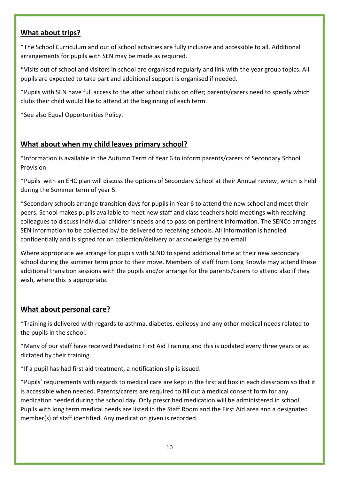# **What about trips?**

\*The School Curriculum and out of school activities are fully inclusive and accessible to all. Additional arrangements for pupils with SEN may be made as required.

\*Visits out of school and visitors in school are organised regularly and link with the year group topics. All pupils are expected to take part and additional support is organised if needed.

\*Pupils with SEN have full access to the after school clubs on offer; parents/carers need to specify which clubs their child would like to attend at the beginning of each term.

\*See also Equal Opportunities Policy.

# **What about when my child leaves primary school?**

\*Information is available in the Autumn Term of Year 6 to inform parents/carers of Secondary School Provision.

\*Pupils with an EHC plan will discuss the options of Secondary School at their Annual review, which is held during the Summer term of year 5.

\*Secondary schools arrange transition days for pupils in Year 6 to attend the new school and meet their peers. School makes pupils available to meet new staff and class teachers hold meetings with receiving colleagues to discuss individual children's needs and to pass on pertinent information. The SENCo arranges SEN information to be collected by/ be delivered to receiving schools. All information is handled confidentially and is signed for on collection/delivery or acknowledge by an email.

Where appropriate we arrange for pupils with SEND to spend additional time at their new secondary school during the summer term prior to their move. Members of staff from Long Knowle may attend these additional transition sessions with the pupils and/or arrange for the parents/carers to attend also if they wish, where this is appropriate.

# **What about personal care?**

\*Training is delivered with regards to asthma, diabetes, epilepsy and any other medical needs related to the pupils in the school.

\*Many of our staff have received Paediatric First Aid Training and this is updated every three years or as dictated by their training.

\*If a pupil has had first aid treatment, a notification slip is issued.

\*Pupils' requirements with regards to medical care are kept in the first aid box in each classroom so that it is accessible when needed. Parents/carers are required to fill out a medical consent form for any medication needed during the school day. Only prescribed medication will be administered in school. Pupils with long term medical needs are listed in the Staff Room and the First Aid area and a designated member(s) of staff identified. Any medication given is recorded.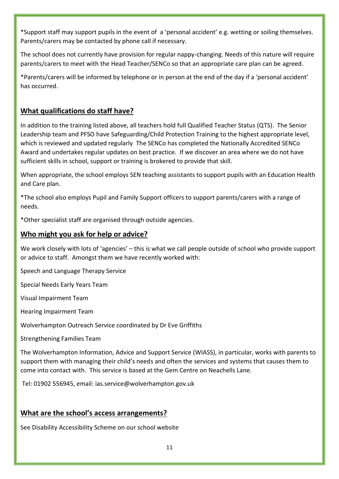\*Support staff may support pupils in the event of a 'personal accident' e.g. wetting or soiling themselves. Parents/carers may be contacted by phone call if necessary.

The school does not currently have provision for regular nappy-changing. Needs of this nature will require parents/carers to meet with the Head Teacher/SENCo so that an appropriate care plan can be agreed.

\*Parents/carers will be informed by telephone or in person at the end of the day if a 'personal accident' has occurred.

# **What qualifications do staff have?**

In addition to the training listed above, all teachers hold full Qualified Teacher Status (QTS). The Senior Leadership team and PFSO have Safeguarding/Child Protection Training to the highest appropriate level, which is reviewed and updated regularly The SENCo has completed the Nationally Accredited SENCo Award and undertakes regular updates on best practice. If we discover an area where we do not have sufficient skills in school, support or training is brokered to provide that skill.

When appropriate, the school employs SEN teaching assistants to support pupils with an Education Health and Care plan.

\*The school also employs Pupil and Family Support officers to support parents/carers with a range of needs.

\*Other specialist staff are organised through outside agencies.

#### **Who might you ask for help or advice?**

We work closely with lots of 'agencies' – this is what we call people outside of school who provide support or advice to staff. Amongst them we have recently worked with:

Speech and Language Therapy Service

Special Needs Early Years Team

Visual Impairment Team

Hearing Impairment Team

Wolverhampton Outreach Service coordinated by Dr Eve Griffiths

Strengthening Families Team

The Wolverhampton Information, Advice and Support Service (WIASS), in particular, works with parents to support them with managing their child's needs and often the services and systems that causes them to come into contact with. This service is based at the Gem Centre on Neachells Lane.

Tel: 01902 556945, email: ias.service@wolverhampton.gov.uk

# **What are the school's access arrangements?**

See Disability Accessibility Scheme on our school website